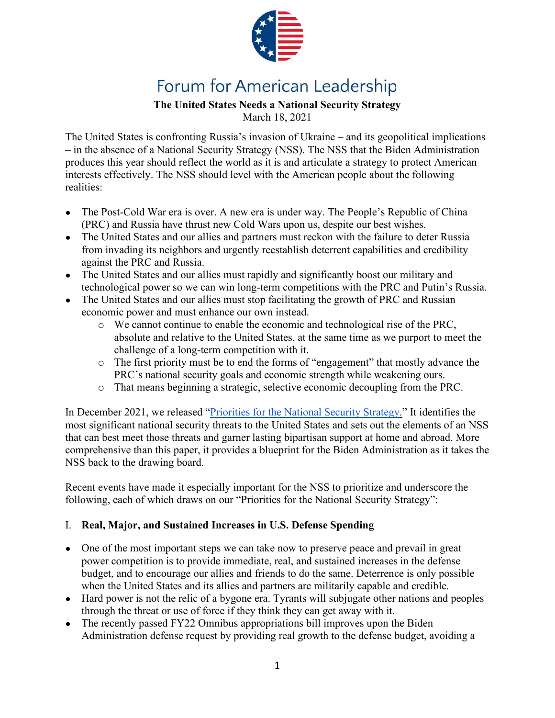

# Forum for American Leadership

# **The United States Needs a National Security Strategy**

March 18, 2021

The United States is confronting Russia's invasion of Ukraine – and its geopolitical implications – in the absence of a National Security Strategy (NSS). The NSS that the Biden Administration produces this year should reflect the world as it is and articulate a strategy to protect American interests effectively. The NSS should level with the American people about the following realities:

- The Post-Cold War era is over. A new era is under way. The People's Republic of China (PRC) and Russia have thrust new Cold Wars upon us, despite our best wishes.
- The United States and our allies and partners must reckon with the failure to deter Russia from invading its neighbors and urgently reestablish deterrent capabilities and credibility against the PRC and Russia.
- The United States and our allies must rapidly and significantly boost our military and technological power so we can win long-term competitions with the PRC and Putin's Russia.
- The United States and our allies must stop facilitating the growth of PRC and Russian economic power and must enhance our own instead.
	- o We cannot continue to enable the economic and technological rise of the PRC, absolute and relative to the United States, at the same time as we purport to meet the challenge of a long-term competition with it.
	- o The first priority must be to end the forms of "engagement" that mostly advance the PRC's national security goals and economic strength while weakening ours.
	- o That means beginning a strategic, selective economic decoupling from the PRC.

In December 2021, we released ["Priorities for the National Security Strategy.](https://forumforamericanleadership.org/natl-security-strategy-1)" It identifies the most significant national security threats to the United States and sets out the elements of an NSS that can best meet those threats and garner lasting bipartisan support at home and abroad. More comprehensive than this paper, it provides a blueprint for the Biden Administration as it takes the NSS back to the drawing board.

Recent events have made it especially important for the NSS to prioritize and underscore the following, each of which draws on our "Priorities for the National Security Strategy":

# I. **Real, Major, and Sustained Increases in U.S. Defense Spending**

- One of the most important steps we can take now to preserve peace and prevail in great power competition is to provide immediate, real, and sustained increases in the defense budget, and to encourage our allies and friends to do the same. Deterrence is only possible when the United States and its allies and partners are militarily capable and credible.
- Hard power is not the relic of a bygone era. Tyrants will subjugate other nations and peoples through the threat or use of force if they think they can get away with it.
- The recently passed FY22 Omnibus appropriations bill improves upon the Biden Administration defense request by providing real growth to the defense budget, avoiding a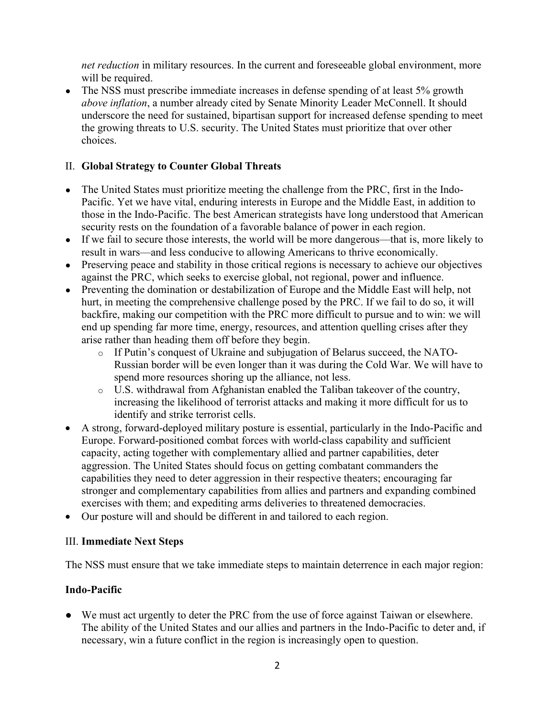*net reduction* in military resources. In the current and foreseeable global environment, more will be required.

• The NSS must prescribe immediate increases in defense spending of at least 5% growth *above inflation*, a number already cited by Senate Minority Leader McConnell. It should underscore the need for sustained, bipartisan support for increased defense spending to meet the growing threats to U.S. security. The United States must prioritize that over other choices.

#### II. **Global Strategy to Counter Global Threats**

- The United States must prioritize meeting the challenge from the PRC, first in the Indo-Pacific. Yet we have vital, enduring interests in Europe and the Middle East, in addition to those in the Indo-Pacific. The best American strategists have long understood that American security rests on the foundation of a favorable balance of power in each region.
- If we fail to secure those interests, the world will be more dangerous—that is, more likely to result in wars—and less conducive to allowing Americans to thrive economically.
- Preserving peace and stability in those critical regions is necessary to achieve our objectives against the PRC, which seeks to exercise global, not regional, power and influence.
- Preventing the domination or destabilization of Europe and the Middle East will help, not hurt, in meeting the comprehensive challenge posed by the PRC. If we fail to do so, it will backfire, making our competition with the PRC more difficult to pursue and to win: we will end up spending far more time, energy, resources, and attention quelling crises after they arise rather than heading them off before they begin.
	- o If Putin's conquest of Ukraine and subjugation of Belarus succeed, the NATO-Russian border will be even longer than it was during the Cold War. We will have to spend more resources shoring up the alliance, not less.
	- o U.S. withdrawal from Afghanistan enabled the Taliban takeover of the country, increasing the likelihood of terrorist attacks and making it more difficult for us to identify and strike terrorist cells.
- A strong, forward-deployed military posture is essential, particularly in the Indo-Pacific and Europe. Forward-positioned combat forces with world-class capability and sufficient capacity, acting together with complementary allied and partner capabilities, deter aggression. The United States should focus on getting combatant commanders the capabilities they need to deter aggression in their respective theaters; encouraging far stronger and complementary capabilities from allies and partners and expanding combined exercises with them; and expediting arms deliveries to threatened democracies.
- Our posture will and should be different in and tailored to each region.

#### III. **Immediate Next Steps**

The NSS must ensure that we take immediate steps to maintain deterrence in each major region:

# **Indo-Pacific**

● We must act urgently to deter the PRC from the use of force against Taiwan or elsewhere. The ability of the United States and our allies and partners in the Indo-Pacific to deter and, if necessary, win a future conflict in the region is increasingly open to question.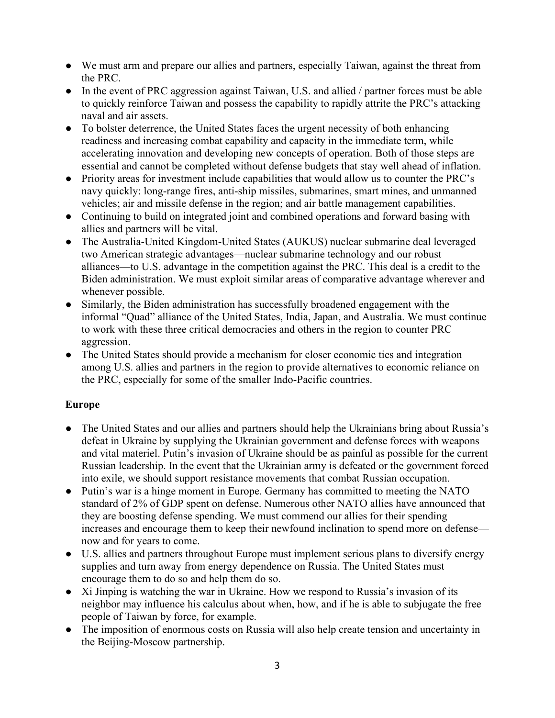- We must arm and prepare our allies and partners, especially Taiwan, against the threat from the PRC.
- In the event of PRC aggression against Taiwan, U.S. and allied / partner forces must be able to quickly reinforce Taiwan and possess the capability to rapidly attrite the PRC's attacking naval and air assets.
- To bolster deterrence, the United States faces the urgent necessity of both enhancing readiness and increasing combat capability and capacity in the immediate term, while accelerating innovation and developing new concepts of operation. Both of those steps are essential and cannot be completed without defense budgets that stay well ahead of inflation.
- Priority areas for investment include capabilities that would allow us to counter the PRC's navy quickly: long-range fires, anti-ship missiles, submarines, smart mines, and unmanned vehicles; air and missile defense in the region; and air battle management capabilities.
- Continuing to build on integrated joint and combined operations and forward basing with allies and partners will be vital.
- The Australia-United Kingdom-United States (AUKUS) nuclear submarine deal leveraged two American strategic advantages—nuclear submarine technology and our robust alliances—to U.S. advantage in the competition against the PRC. This deal is a credit to the Biden administration. We must exploit similar areas of comparative advantage wherever and whenever possible.
- Similarly, the Biden administration has successfully broadened engagement with the informal "Quad" alliance of the United States, India, Japan, and Australia. We must continue to work with these three critical democracies and others in the region to counter PRC aggression.
- The United States should provide a mechanism for closer economic ties and integration among U.S. allies and partners in the region to provide alternatives to economic reliance on the PRC, especially for some of the smaller Indo-Pacific countries.

# **Europe**

- The United States and our allies and partners should help the Ukrainians bring about Russia's defeat in Ukraine by supplying the Ukrainian government and defense forces with weapons and vital materiel. Putin's invasion of Ukraine should be as painful as possible for the current Russian leadership. In the event that the Ukrainian army is defeated or the government forced into exile, we should support resistance movements that combat Russian occupation.
- Putin's war is a hinge moment in Europe. Germany has committed to meeting the NATO standard of 2% of GDP spent on defense. Numerous other NATO allies have announced that they are boosting defense spending. We must commend our allies for their spending increases and encourage them to keep their newfound inclination to spend more on defense now and for years to come.
- U.S. allies and partners throughout Europe must implement serious plans to diversify energy supplies and turn away from energy dependence on Russia. The United States must encourage them to do so and help them do so.
- Xi Jinping is watching the war in Ukraine. How we respond to Russia's invasion of its neighbor may influence his calculus about when, how, and if he is able to subjugate the free people of Taiwan by force, for example.
- The imposition of enormous costs on Russia will also help create tension and uncertainty in the Beijing-Moscow partnership.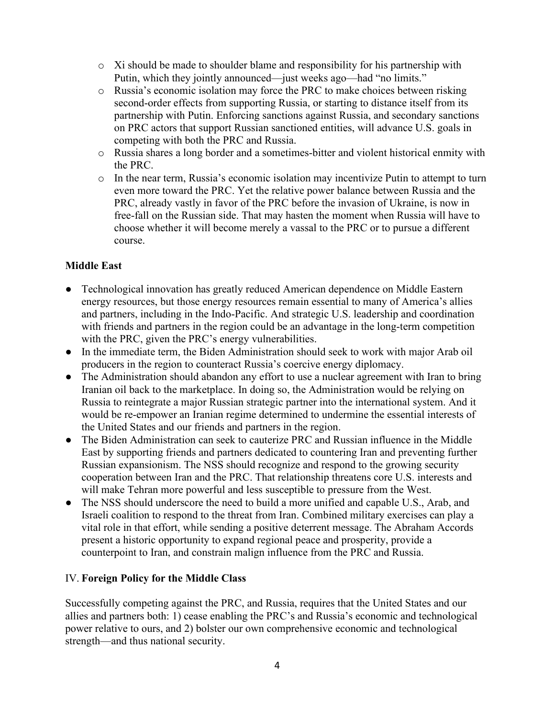- $\circ$  Xi should be made to shoulder blame and responsibility for his partnership with Putin, which they jointly announced—just weeks ago—had "no limits."
- o Russia's economic isolation may force the PRC to make choices between risking second-order effects from supporting Russia, or starting to distance itself from its partnership with Putin. Enforcing sanctions against Russia, and secondary sanctions on PRC actors that support Russian sanctioned entities, will advance U.S. goals in competing with both the PRC and Russia.
- o Russia shares a long border and a sometimes-bitter and violent historical enmity with the PRC.
- $\circ$  In the near term, Russia's economic isolation may incentivize Putin to attempt to turn even more toward the PRC. Yet the relative power balance between Russia and the PRC, already vastly in favor of the PRC before the invasion of Ukraine, is now in free-fall on the Russian side. That may hasten the moment when Russia will have to choose whether it will become merely a vassal to the PRC or to pursue a different course.

#### **Middle East**

- Technological innovation has greatly reduced American dependence on Middle Eastern energy resources, but those energy resources remain essential to many of America's allies and partners, including in the Indo-Pacific. And strategic U.S. leadership and coordination with friends and partners in the region could be an advantage in the long-term competition with the PRC, given the PRC's energy vulnerabilities.
- In the immediate term, the Biden Administration should seek to work with major Arab oil producers in the region to counteract Russia's coercive energy diplomacy.
- The Administration should abandon any effort to use a nuclear agreement with Iran to bring Iranian oil back to the marketplace. In doing so, the Administration would be relying on Russia to reintegrate a major Russian strategic partner into the international system. And it would be re-empower an Iranian regime determined to undermine the essential interests of the United States and our friends and partners in the region.
- The Biden Administration can seek to cauterize PRC and Russian influence in the Middle East by supporting friends and partners dedicated to countering Iran and preventing further Russian expansionism. The NSS should recognize and respond to the growing security cooperation between Iran and the PRC. That relationship threatens core U.S. interests and will make Tehran more powerful and less susceptible to pressure from the West.
- The NSS should underscore the need to build a more unified and capable U.S., Arab, and Israeli coalition to respond to the threat from Iran. Combined military exercises can play a vital role in that effort, while sending a positive deterrent message. The Abraham Accords present a historic opportunity to expand regional peace and prosperity, provide a counterpoint to Iran, and constrain malign influence from the PRC and Russia.

#### IV. **Foreign Policy for the Middle Class**

Successfully competing against the PRC, and Russia, requires that the United States and our allies and partners both: 1) cease enabling the PRC's and Russia's economic and technological power relative to ours, and 2) bolster our own comprehensive economic and technological strength—and thus national security.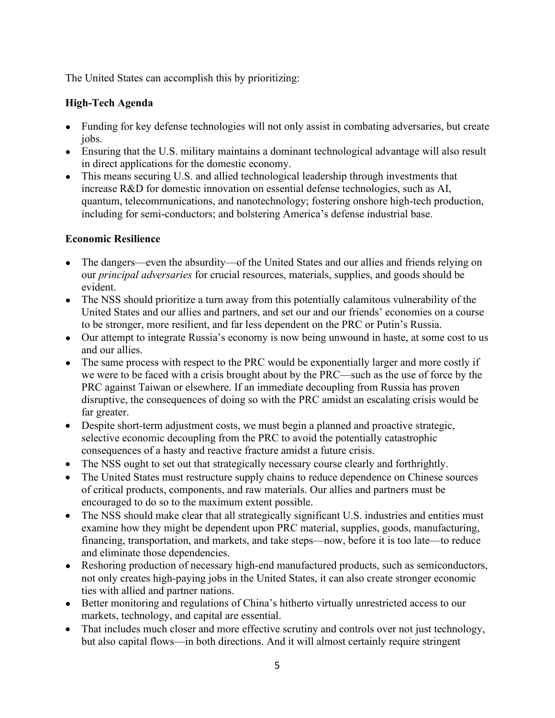The United States can accomplish this by prioritizing:

#### **High-Tech Agenda**

- Funding for key defense technologies will not only assist in combating adversaries, but create iobs.
- Ensuring that the U.S. military maintains a dominant technological advantage will also result in direct applications for the domestic economy.
- This means securing U.S. and allied technological leadership through investments that increase R&D for domestic innovation on essential defense technologies, such as AI, quantum, telecommunications, and nanotechnology; fostering onshore high-tech production, including for semi-conductors; and bolstering America's defense industrial base.

#### **Economic Resilience**

- The dangers—even the absurdity—of the United States and our allies and friends relying on our *principal adversaries* for crucial resources, materials, supplies, and goods should be evident.
- The NSS should prioritize a turn away from this potentially calamitous vulnerability of the United States and our allies and partners, and set our and our friends' economies on a course to be stronger, more resilient, and far less dependent on the PRC or Putin's Russia.
- Our attempt to integrate Russia's economy is now being unwound in haste, at some cost to us and our allies.
- The same process with respect to the PRC would be exponentially larger and more costly if we were to be faced with a crisis brought about by the PRC—such as the use of force by the PRC against Taiwan or elsewhere. If an immediate decoupling from Russia has proven disruptive, the consequences of doing so with the PRC amidst an escalating crisis would be far greater.
- Despite short-term adjustment costs, we must begin a planned and proactive strategic, selective economic decoupling from the PRC to avoid the potentially catastrophic consequences of a hasty and reactive fracture amidst a future crisis.
- The NSS ought to set out that strategically necessary course clearly and forthrightly.
- The United States must restructure supply chains to reduce dependence on Chinese sources of critical products, components, and raw materials. Our allies and partners must be encouraged to do so to the maximum extent possible.
- The NSS should make clear that all strategically significant U.S. industries and entities must examine how they might be dependent upon PRC material, supplies, goods, manufacturing, financing, transportation, and markets, and take steps—now, before it is too late—to reduce and eliminate those dependencies.
- Reshoring production of necessary high-end manufactured products, such as semiconductors, not only creates high-paying jobs in the United States, it can also create stronger economic ties with allied and partner nations.
- Better monitoring and regulations of China's hitherto virtually unrestricted access to our markets, technology, and capital are essential.
- That includes much closer and more effective scrutiny and controls over not just technology, but also capital flows—in both directions. And it will almost certainly require stringent